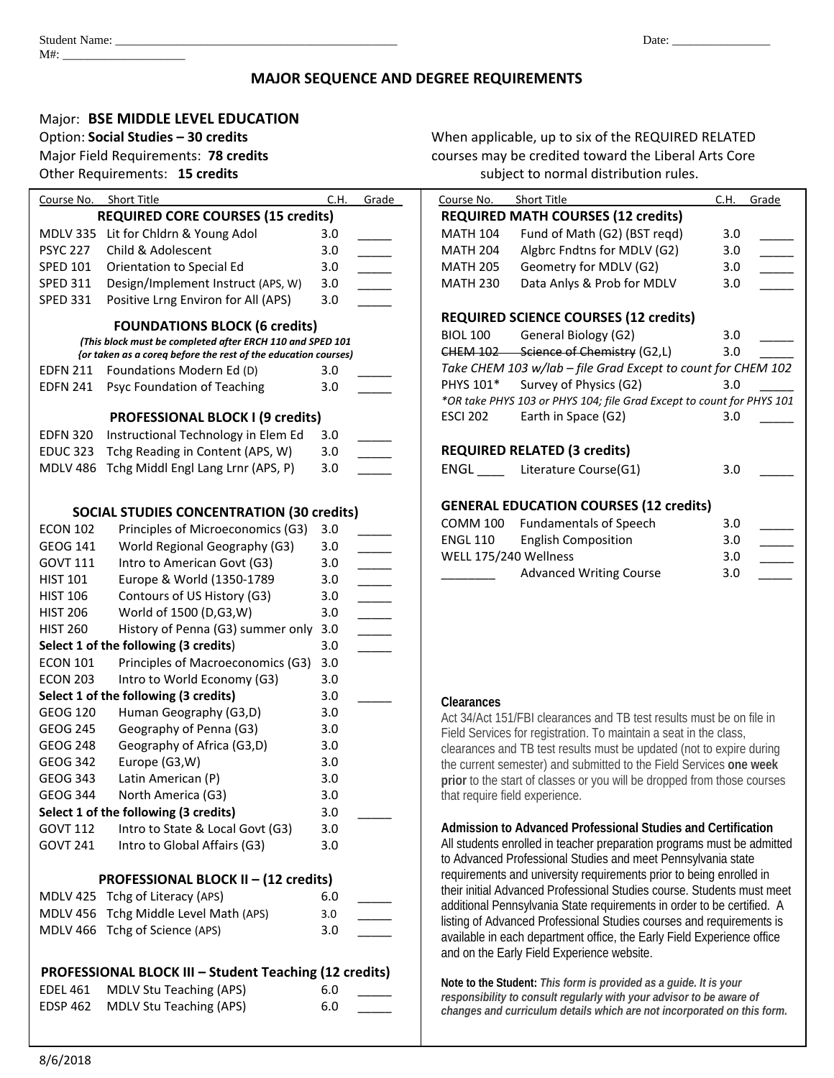## **MAJOR SEQUENCE AND DEGREE REQUIREMENTS**

## Major: **BSE MIDDLE LEVEL EDUCATION**

| Course No.      | <b>Short Title</b>                                                                                                          | C.H. | Grade                    | Course No.      | Short Title                                                                                                          | C.H. | Grade |
|-----------------|-----------------------------------------------------------------------------------------------------------------------------|------|--------------------------|-----------------|----------------------------------------------------------------------------------------------------------------------|------|-------|
|                 | <b>REQUIRED CORE COURSES (15 credits)</b>                                                                                   |      |                          |                 | <b>REQUIRED MATH COURSES (12 credits)</b>                                                                            |      |       |
|                 | MDLV 335 Lit for Chldrn & Young Adol                                                                                        | 3.0  |                          | <b>MATH 104</b> | Fund of Math (G2) (BST reqd)                                                                                         | 3.0  |       |
| <b>PSYC 227</b> | Child & Adolescent                                                                                                          | 3.0  | $\overline{\phantom{a}}$ | <b>MATH 204</b> | Algbrc Fndtns for MDLV (G2)                                                                                          | 3.0  |       |
| <b>SPED 101</b> | Orientation to Special Ed                                                                                                   | 3.0  | $\overline{\phantom{a}}$ | <b>MATH 205</b> | Geometry for MDLV (G2)                                                                                               | 3.0  |       |
| <b>SPED 311</b> | Design/Implement Instruct (APS, W)                                                                                          | 3.0  | $\mathbb{R}^n$           | <b>MATH 230</b> | Data Anlys & Prob for MDLV                                                                                           | 3.0  |       |
| <b>SPED 331</b> | Positive Lrng Environ for All (APS)                                                                                         | 3.0  |                          |                 |                                                                                                                      |      |       |
|                 |                                                                                                                             |      |                          |                 | <b>REQUIRED SCIENCE COURSES (12 credits)</b>                                                                         |      |       |
|                 | <b>FOUNDATIONS BLOCK (6 credits)</b>                                                                                        |      |                          | <b>BIOL 100</b> | General Biology (G2)                                                                                                 | 3.0  |       |
|                 | (This block must be completed after ERCH 110 and SPED 101<br>{or taken as a coreq before the rest of the education courses) |      |                          |                 | CHEM 102 Science of Chemistry (G2,L)                                                                                 | 3.0  |       |
|                 | EDFN 211 Foundations Modern Ed (D)                                                                                          | 3.0  |                          |                 | Take CHEM 103 w/lab - file Grad Except to count for CHEM 10                                                          |      |       |
| <b>EDFN 241</b> | Psyc Foundation of Teaching                                                                                                 | 3.0  |                          | PHYS 101*       | Survey of Physics (G2)                                                                                               | 3.0  |       |
|                 |                                                                                                                             |      |                          |                 | *OR take PHYS 103 or PHYS 104; file Grad Except to count for PHYS 1                                                  |      |       |
|                 | <b>PROFESSIONAL BLOCK I (9 credits)</b>                                                                                     |      |                          | <b>ESCI 202</b> | Earth in Space (G2)                                                                                                  | 3.0  |       |
| <b>EDFN 320</b> | Instructional Technology in Elem Ed                                                                                         | 3.0  |                          |                 |                                                                                                                      |      |       |
|                 | EDUC 323 Tchg Reading in Content (APS, W)                                                                                   | 3.0  |                          |                 | <b>REQUIRED RELATED (3 credits)</b>                                                                                  |      |       |
|                 | MDLV 486 Tchg Middl Engl Lang Lrnr (APS, P)                                                                                 | 3.0  |                          | ENGL            | Literature Course(G1)                                                                                                | 3.0  |       |
|                 |                                                                                                                             |      |                          |                 |                                                                                                                      |      |       |
|                 |                                                                                                                             |      |                          |                 | <b>GENERAL EDUCATION COURSES (12 credits)</b>                                                                        |      |       |
|                 | <b>SOCIAL STUDIES CONCENTRATION (30 credits)</b>                                                                            |      |                          |                 | COMM 100 Fundamentals of Speech                                                                                      | 3.0  |       |
| <b>ECON 102</b> | Principles of Microeconomics (G3)                                                                                           | 3.0  |                          | <b>ENGL 110</b> | <b>English Composition</b>                                                                                           | 3.0  |       |
| <b>GEOG 141</b> | World Regional Geography (G3)                                                                                               | 3.0  | $\overline{\phantom{a}}$ |                 | WELL 175/240 Wellness                                                                                                | 3.0  |       |
| <b>GOVT 111</b> | Intro to American Govt (G3)                                                                                                 | 3.0  | $\overline{\phantom{a}}$ |                 |                                                                                                                      |      |       |
| <b>HIST 101</b> | Europe & World (1350-1789                                                                                                   | 3.0  | $\overline{\phantom{a}}$ |                 | <b>Advanced Writing Course</b>                                                                                       | 3.0  |       |
| <b>HIST 106</b> | Contours of US History (G3)                                                                                                 | 3.0  | $\overline{\phantom{a}}$ |                 |                                                                                                                      |      |       |
| <b>HIST 206</b> | World of 1500 (D,G3,W)                                                                                                      | 3.0  | $\overline{\phantom{a}}$ |                 |                                                                                                                      |      |       |
| <b>HIST 260</b> | History of Penna (G3) summer only                                                                                           | 3.0  | $\overline{\phantom{a}}$ |                 |                                                                                                                      |      |       |
|                 | Select 1 of the following (3 credits)                                                                                       | 3.0  |                          |                 |                                                                                                                      |      |       |
| <b>ECON 101</b> | Principles of Macroeconomics (G3)                                                                                           | 3.0  |                          |                 |                                                                                                                      |      |       |
| <b>ECON 203</b> | Intro to World Economy (G3)                                                                                                 | 3.0  |                          |                 |                                                                                                                      |      |       |
|                 | Select 1 of the following (3 credits)                                                                                       | 3.0  |                          | Clearances      |                                                                                                                      |      |       |
| <b>GEOG 120</b> | Human Geography (G3,D)                                                                                                      | 3.0  |                          |                 | Act 34/Act 151/FBI clearances and TB test results must be on file in                                                 |      |       |
| <b>GEOG 245</b> | Geography of Penna (G3)                                                                                                     | 3.0  |                          |                 | Field Services for registration. To maintain a seat in the class,                                                    |      |       |
| <b>GEOG 248</b> | Geography of Africa (G3,D)                                                                                                  | 3.0  |                          |                 | clearances and TB test results must be updated (not to expire during                                                 |      |       |
| <b>GEOG 342</b> | Europe (G3,W)                                                                                                               | 3.0  |                          |                 | the current semester) and submitted to the Field Services one week                                                   |      |       |
| <b>GEOG 343</b> | Latin American (P)                                                                                                          | 3.0  |                          |                 | prior to the start of classes or you will be dropped from those courses                                              |      |       |
| <b>GEOG 344</b> | North America (G3)                                                                                                          | 3.0  |                          |                 | that require field experience.                                                                                       |      |       |
|                 | Select 1 of the following (3 credits)                                                                                       | 3.0  |                          |                 |                                                                                                                      |      |       |
| <b>GOVT 112</b> | Intro to State & Local Govt (G3)                                                                                            | 3.0  |                          |                 | Admission to Advanced Professional Studies and Certification                                                         |      |       |
| <b>GOVT 241</b> | Intro to Global Affairs (G3)                                                                                                | 3.0  |                          |                 | All students enrolled in teacher preparation programs must be admitted                                               |      |       |
|                 |                                                                                                                             |      |                          |                 | to Advanced Professional Studies and meet Pennsylvania state                                                         |      |       |
|                 | <b>PROFESSIONAL BLOCK II - (12 credits)</b>                                                                                 |      |                          |                 | requirements and university requirements prior to being enrolled in                                                  |      |       |
|                 | MDLV 425 Tchg of Literacy (APS)                                                                                             | 6.0  |                          |                 | their initial Advanced Professional Studies course. Students must me                                                 |      |       |
|                 | MDLV 456 Tchg Middle Level Math (APS)                                                                                       | 3.0  |                          |                 | additional Pennsylvania State requirements in order to be certified. A                                               |      |       |
|                 | MDLV 466 Tchg of Science (APS)                                                                                              | 3.0  |                          |                 | listing of Advanced Professional Studies courses and requirements is                                                 |      |       |
|                 |                                                                                                                             |      |                          |                 | available in each department office, the Early Field Experience office<br>and on the Early Field Experience website. |      |       |
|                 |                                                                                                                             |      |                          |                 |                                                                                                                      |      |       |
|                 | PROFESSIONAL BLOCK III - Student Teaching (12 credits)                                                                      |      |                          |                 | Note to the Student: This form is provided as a guide. It is your                                                    |      |       |
| <b>EDEL 461</b> | <b>MDLV Stu Teaching (APS)</b>                                                                                              | 6.0  |                          |                 | responsibility to consult regularly with your advisor to be aware of                                                 |      |       |
| <b>EDSP 462</b> | <b>MDLV Stu Teaching (APS)</b>                                                                                              | 6.0  |                          |                 | changes and curriculum details which are not incorporated on this form                                               |      |       |

Option: **Social Studies – 30 credits** When applicable, up to six of the REQUIRED RELATED Major Field Requirements: **78 credits** courses may be credited toward the Liberal Arts Core Other Requirements: **15 credits** and the subject to normal distribution rules.

| Course No. Short Title |                                                                       | C.H. | Grade |
|------------------------|-----------------------------------------------------------------------|------|-------|
|                        | <b>REQUIRED MATH COURSES (12 credits)</b>                             |      |       |
| <b>MATH 104</b>        | Fund of Math (G2) (BST regd)                                          | 3.0  |       |
| <b>MATH 204</b>        | Algbrc Fndtns for MDLV (G2)                                           | 3.0  |       |
| MATH 205               | Geometry for MDLV (G2)                                                | 3.0  |       |
| <b>MATH 230</b>        | Data Anlys & Prob for MDLV                                            | 3.0  |       |
|                        |                                                                       |      |       |
|                        | <b>REQUIRED SCIENCE COURSES (12 credits)</b>                          |      |       |
| <b>BIOL 100</b>        | General Biology (G2)                                                  | 3.0  |       |
|                        | CHEM 102 Science of Chemistry (G2,L)                                  | 3.0  |       |
|                        | Take CHEM 103 w/lab - file Grad Except to count for CHEM 102          |      |       |
| PHYS 101*              | Survey of Physics (G2)                                                | 3.0  |       |
|                        | *OR take PHYS 103 or PHYS 104; file Grad Except to count for PHYS 101 |      |       |
| <b>ESCI 202</b>        | Earth in Space (G2)                                                   | 3.0  |       |
|                        |                                                                       |      |       |
|                        | <b>REQUIRED RELATED (3 credits)</b>                                   |      |       |
|                        | ENGL Literature Course(G1)                                            | 3.0  |       |
|                        |                                                                       |      |       |
|                        | <b>GENERAL EDUCATION COURSES (12 credits)</b>                         |      |       |
| COMM 100               | <b>Fundamentals of Speech</b>                                         | 3.0  |       |
| ENGL 110               | <b>English Composition</b>                                            | 3.0  |       |
| WELL 175/240 Wellness  |                                                                       | 3.0  |       |
|                        | <b>Advanced Writing Course</b>                                        | 3.0  |       |
|                        |                                                                       |      |       |
|                        |                                                                       |      |       |
|                        |                                                                       |      |       |
|                        |                                                                       |      |       |

## **Clearances**

**Note to the Student:** *This form is provided as a guide. It is your responsibility to consult regularly with your advisor to be aware of changes and curriculum details which are not incorporated on this form.*